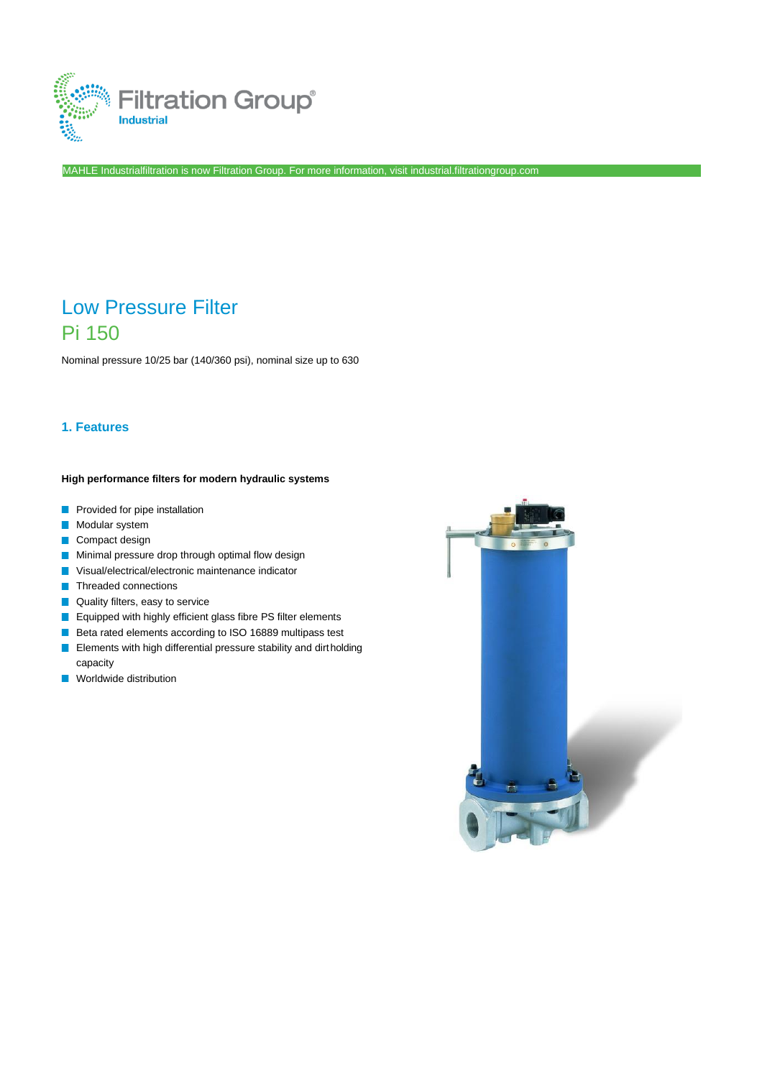

MAHLE Industrialfiltration is now Filtration Group. For more information, visi[t industrial.filtrationgroup.com](http://www.fluid.filtrationgroup.com/)

# Low Pressure Filter Pi 150

Nominal pressure 10/25 bar (140/360 psi), nominal size up to 630

# **1. Features**

#### **High performance filters for modern hydraulic systems**

- **Provided for pipe installation**
- Modular system
- Compact design
- **Minimal pressure drop through optimal flow design**
- **Visual/electrical/electronic maintenance indicator**
- **T** Threaded connections
- **Quality filters, easy to service**
- **E** Equipped with highly efficient glass fibre PS filter elements
- Beta rated elements according to ISO 16889 multipass test
- **Elements with high differential pressure stability and dirtholding** capacity
- **Norldwide distribution**

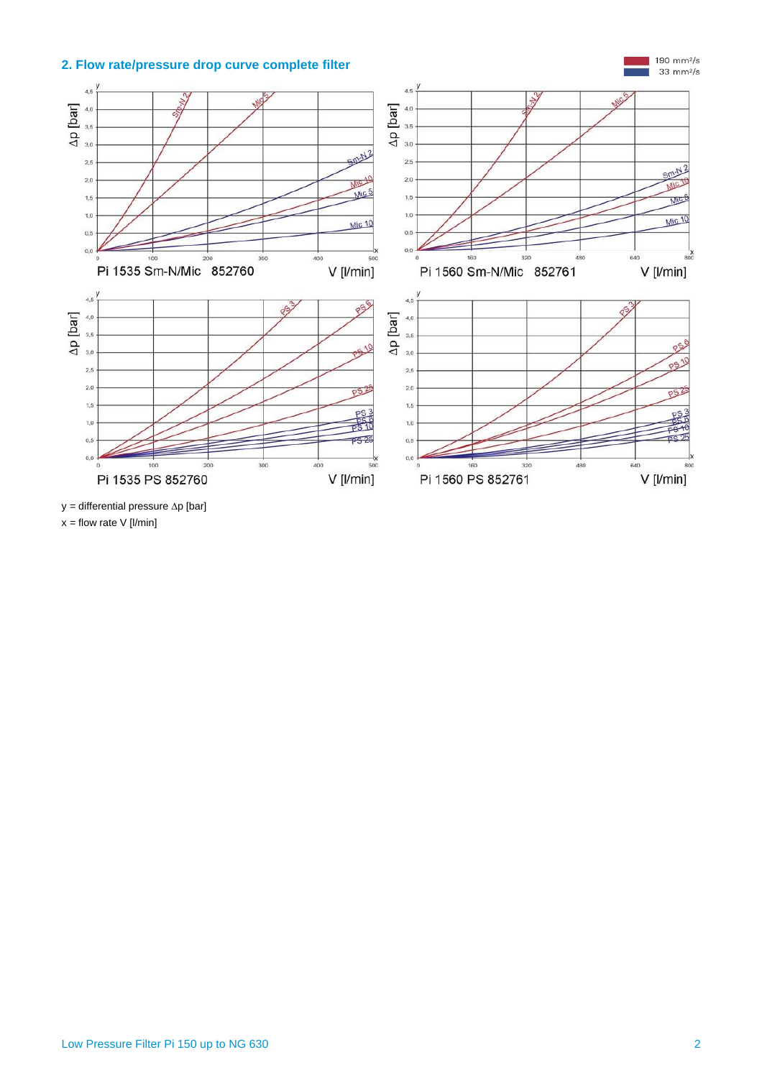# **2. Flow rate/pressure drop curve complete filter**



 $y =$  differential pressure  $\Delta p$  [bar]

 $x =$  flow rate V [l/min]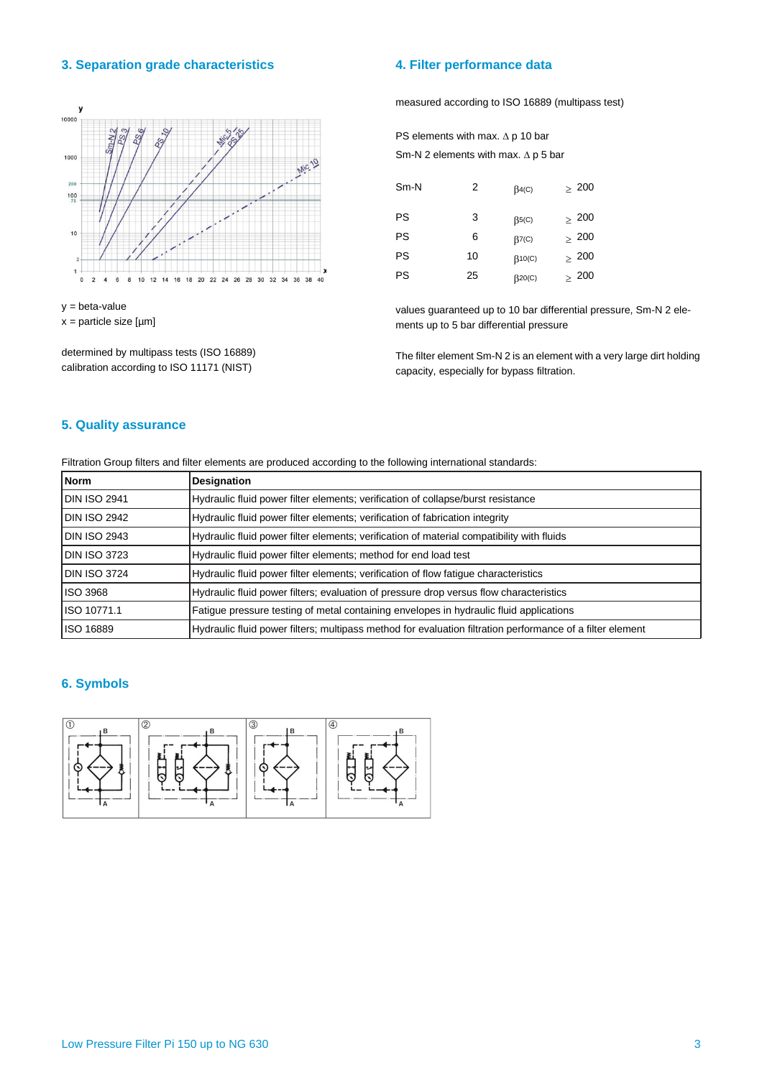#### **3. Separation grade characteristics 4. Filter performance data**



y = beta-value x = particle size [µm]

determined by multipass tests (ISO 16889) calibration according to ISO 11171 (NIST)

measured according to ISO 16889 (multipass test)

PS elements with max.  $\Delta$  p 10 bar Sm-N 2 elements with max.  $\Delta p$  5 bar

| $Sm-N$    | 2  | $\beta$ 4(C)             | $\geq 200$ |
|-----------|----|--------------------------|------------|
| <b>PS</b> | 3  | $\beta$ <sub>5</sub> (C) | $\geq~200$ |
| PS        | 6  | $\beta$ 7(C)             | $\geq 200$ |
| <b>PS</b> | 10 | $\beta$ 10(C)            | $\geq 200$ |
| <b>PS</b> | 25 | $\beta$ 20(C)            | $\geq~200$ |

values guaranteed up to 10 bar differential pressure, Sm-N 2 elements up to 5 bar differential pressure

The filter element Sm-N 2 is an element with a very large dirt holding capacity, especially for bypass filtration.

### **5. Quality assurance**

Filtration Group filters and filter elements are produced according to the following international standards:

| Norm                | <b>Designation</b>                                                                                        |
|---------------------|-----------------------------------------------------------------------------------------------------------|
| <b>DIN ISO 2941</b> | Hydraulic fluid power filter elements; verification of collapse/burst resistance                          |
| <b>DIN ISO 2942</b> | Hydraulic fluid power filter elements; verification of fabrication integrity                              |
| <b>DIN ISO 2943</b> | Hydraulic fluid power filter elements; verification of material compatibility with fluids                 |
| DIN ISO 3723        | Hydraulic fluid power filter elements; method for end load test                                           |
| DIN ISO 3724        | Hydraulic fluid power filter elements; verification of flow fatique characteristics                       |
| <b>ISO 3968</b>     | Hydraulic fluid power filters; evaluation of pressure drop versus flow characteristics                    |
| ISO 10771.1         | Fatigue pressure testing of metal containing envelopes in hydraulic fluid applications                    |
| ISO 16889           | Hydraulic fluid power filters; multipass method for evaluation filtration performance of a filter element |

#### **6. Symbols**

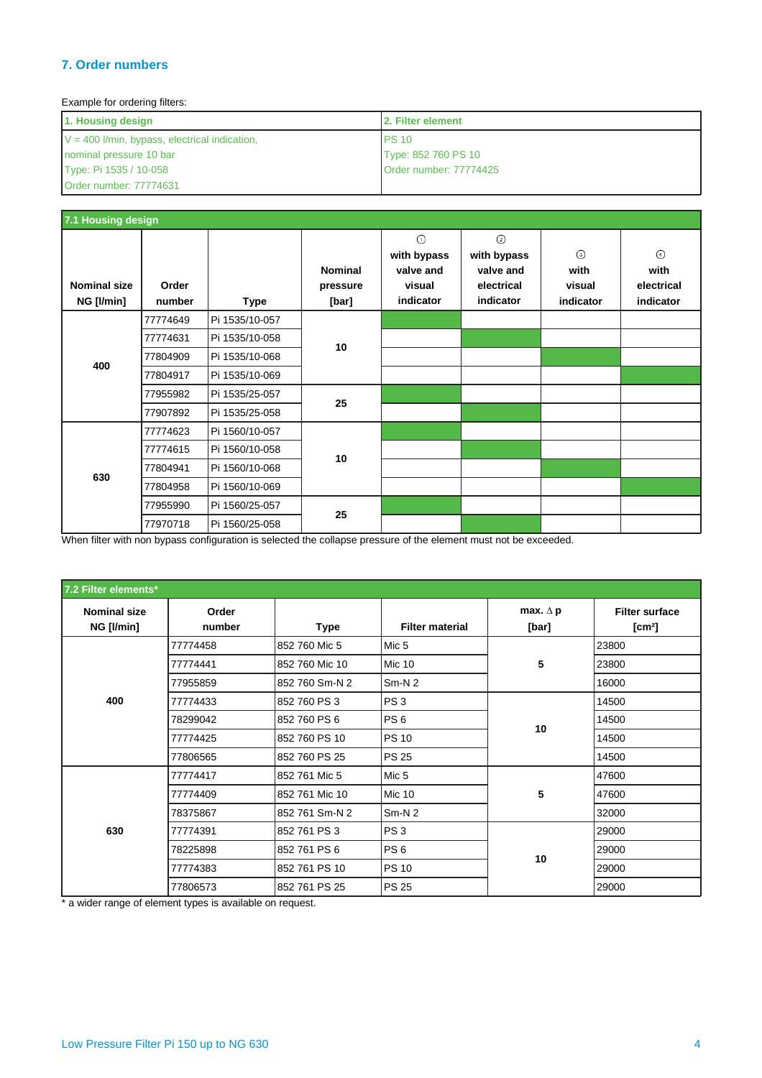# **7. Order numbers**

### Example for ordering filters:

| 1. Housing design                               | <b>12. Filter element</b> |  |  |  |  |
|-------------------------------------------------|---------------------------|--|--|--|--|
| $V = 400$ I/min, bypass, electrical indication, | <b>PS 10</b>              |  |  |  |  |
| nominal pressure 10 bar                         | Type: 852 760 PS 10       |  |  |  |  |
| Type: Pi 1535 / 10-058                          | Order number: 77774425    |  |  |  |  |
| Order number: 77774631                          |                           |  |  |  |  |

| 7.1 Housing design                |                 |                |                                     |                                                            |                                                                      |                                        |                                            |  |  |
|-----------------------------------|-----------------|----------------|-------------------------------------|------------------------------------------------------------|----------------------------------------------------------------------|----------------------------------------|--------------------------------------------|--|--|
| <b>Nominal size</b><br>NG [I/min] | Order<br>number | <b>Type</b>    | <b>Nominal</b><br>pressure<br>[bar] | $\odot$<br>with bypass<br>valve and<br>visual<br>indicator | $\circled{2}$<br>with bypass<br>valve and<br>electrical<br>indicator | $\odot$<br>with<br>visual<br>indicator | $\odot$<br>with<br>electrical<br>indicator |  |  |
|                                   | 77774649        | Pi 1535/10-057 |                                     |                                                            |                                                                      |                                        |                                            |  |  |
|                                   | 77774631        | Pi 1535/10-058 |                                     |                                                            |                                                                      |                                        |                                            |  |  |
| 400                               | 77804909        | Pi 1535/10-068 | 10                                  |                                                            |                                                                      |                                        |                                            |  |  |
|                                   | 77804917        | Pi 1535/10-069 |                                     |                                                            |                                                                      |                                        |                                            |  |  |
|                                   | 77955982        | Pi 1535/25-057 | 25                                  |                                                            |                                                                      |                                        |                                            |  |  |
|                                   | 77907892        | Pi 1535/25-058 |                                     |                                                            |                                                                      |                                        |                                            |  |  |
|                                   | 77774623        | Pi 1560/10-057 |                                     |                                                            |                                                                      |                                        |                                            |  |  |
|                                   | 77774615        | Pi 1560/10-058 | 10                                  |                                                            |                                                                      |                                        |                                            |  |  |
| 630                               | 77804941        | Pi 1560/10-068 |                                     |                                                            |                                                                      |                                        |                                            |  |  |
|                                   | 77804958        | Pi 1560/10-069 |                                     |                                                            |                                                                      |                                        |                                            |  |  |
|                                   | 77955990        | Pi 1560/25-057 | 25                                  |                                                            |                                                                      |                                        |                                            |  |  |
|                                   | 77970718        | Pi 1560/25-058 |                                     |                                                            |                                                                      |                                        |                                            |  |  |

When filter with non bypass configuration is selected the collapse pressure of the element must not be exceeded.

| 7.2 Filter elements*              |                 |                |                        |                          |                                             |
|-----------------------------------|-----------------|----------------|------------------------|--------------------------|---------------------------------------------|
| <b>Nominal size</b><br>NG [I/min] | Order<br>number | Type           | <b>Filter material</b> | max. $\Delta$ p<br>[bar] | <b>Filter surface</b><br>[cm <sup>2</sup> ] |
|                                   | 77774458        | 852 760 Mic 5  | Mic <sub>5</sub>       |                          | 23800                                       |
|                                   | 77774441        | 852 760 Mic 10 | <b>Mic 10</b>          | 5                        | 23800                                       |
|                                   | 77955859        | 852 760 Sm-N 2 | $Sm-N2$                |                          | 16000                                       |
| 400                               | 77774433        | 852 760 PS 3   | PS <sub>3</sub>        |                          | 14500                                       |
|                                   | 78299042        | 852 760 PS 6   | PS <sub>6</sub>        |                          | 14500                                       |
|                                   | 77774425        | 852 760 PS 10  | <b>PS 10</b>           | 10                       | 14500                                       |
|                                   | 77806565        | 852 760 PS 25  | <b>PS 25</b>           |                          | 14500                                       |
|                                   | 77774417        | 852 761 Mic 5  | Mic <sub>5</sub>       |                          | 47600                                       |
|                                   | 77774409        | 852 761 Mic 10 | <b>Mic 10</b>          | 5                        | 47600                                       |
|                                   | 78375867        | 852 761 Sm-N 2 | $Sm-N2$                |                          | 32000                                       |
| 630                               | 77774391        | 852 761 PS 3   | PS <sub>3</sub>        |                          | 29000                                       |
|                                   | 78225898        | 852 761 PS 6   | PS <sub>6</sub>        |                          | 29000                                       |
|                                   | 77774383        | 852 761 PS 10  | <b>PS 10</b>           | 10                       | 29000                                       |
|                                   | 77806573        | 852 761 PS 25  | <b>PS 25</b>           |                          | 29000                                       |

\* a wider range of element types is available on request.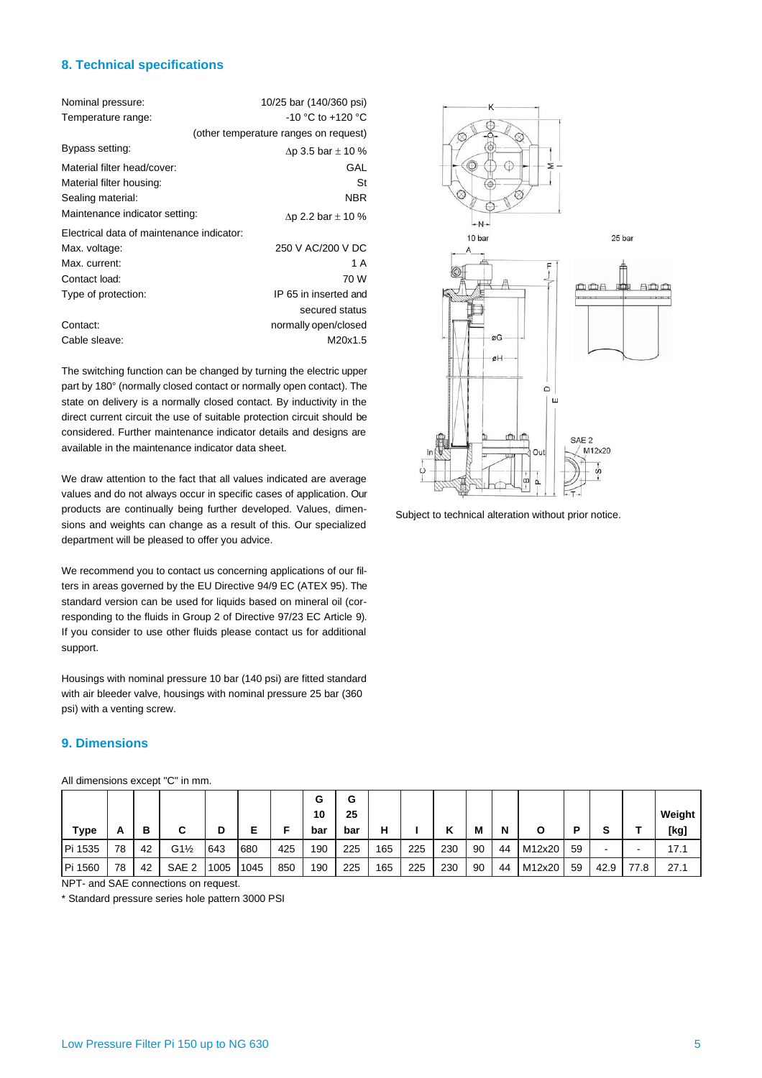#### **8. Technical specifications**

| Nominal pressure:                         | 10/25 bar (140/360 psi)               |
|-------------------------------------------|---------------------------------------|
| Temperature range:                        | $-10$ °C to $+120$ °C                 |
|                                           | (other temperature ranges on request) |
| Bypass setting:                           | $\Delta p$ 3.5 bar $\pm$ 10 %         |
| Material filter head/cover:               | GAL                                   |
| Material filter housing:                  | St                                    |
| Sealing material:                         | <b>NBR</b>                            |
| Maintenance indicator setting:            | $\Delta p$ 2.2 bar $\pm$ 10 %         |
| Electrical data of maintenance indicator: |                                       |
| Max. voltage:                             | 250 V AC/200 V DC                     |
| Max. current:                             | 1 A                                   |
| Contact load:                             | 70 W                                  |
| Type of protection:                       | IP 65 in inserted and                 |
|                                           | secured status                        |
| Contact:                                  | normally open/closed                  |
| Cable sleave:                             | M20x1.5                               |

The switching function can be changed by turning the electric upper part by 180° (normally closed contact or normally open contact). The state on delivery is a normally closed contact. By inductivity in the direct current circuit the use of suitable protection circuit should be considered. Further maintenance indicator details and designs are available in the maintenance indicator data sheet.

We draw attention to the fact that all values indicated are average values and do not always occur in specific cases of application. Our products are continually being further developed. Values, dimensions and weights can change as a result of this. Our specialized department will be pleased to offer you advice.

We recommend you to contact us concerning applications of our filters in areas governed by the EU Directive 94/9 EC (ATEX 95). The standard version can be used for liquids based on mineral oil (corresponding to the fluids in Group 2 of Directive 97/23 EC Article 9). If you consider to use other fluids please contact us for additional support.

Housings with nominal pressure 10 bar (140 psi) are fitted standard with air bleeder valve, housings with nominal pressure 25 bar (360 psi) with a venting screw.

# **9. Dimensions**

|  | All dimensions except "C" in mm. |
|--|----------------------------------|
|--|----------------------------------|

| All dimensions except "C" in mm.     |    |    |                 |      |      |     |     |     |     |     |     |    |    |        |    |      |      |        |
|--------------------------------------|----|----|-----------------|------|------|-----|-----|-----|-----|-----|-----|----|----|--------|----|------|------|--------|
|                                      |    |    |                 |      |      |     | G   | G   |     |     |     |    |    |        |    |      |      |        |
|                                      |    |    |                 |      |      |     | 10  | 25  |     |     |     |    |    |        |    |      |      | Weight |
| <b>Type</b>                          | A  | в  | С               | D    | Е    | Е   | bar | bar | н   |     | κ   | M  | N  | Ο      | Ρ  | s    |      | [kg]   |
| Pi 1535                              | 78 | 42 | $G1\frac{1}{2}$ | 643  | 680  | 425 | 190 | 225 | 165 | 225 | 230 | 90 | 44 | M12x20 | 59 | -    |      | 17.1   |
| Pi 1560                              | 78 | 42 | SAE 2           | 1005 | 1045 | 850 | 190 | 225 | 165 | 225 | 230 | 90 | 44 | M12x20 | 59 | 42.9 | 77.8 | 27.1   |
| NPT- and SAE connections on request. |    |    |                 |      |      |     |     |     |     |     |     |    |    |        |    |      |      |        |

\* Standard pressure series hole pattern 3000 PSI



Subject to technical alteration without prior notice.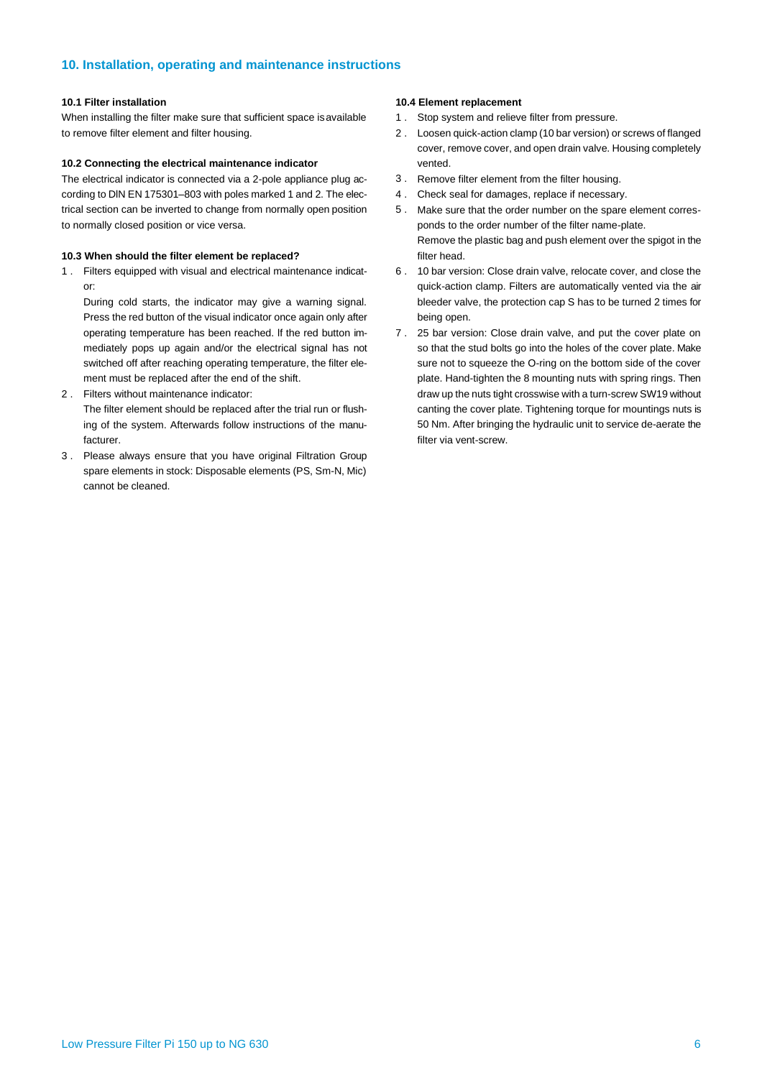#### **10. Installation, operating and maintenance instructions**

#### **10.1 Filter installation**

When installing the filter make sure that sufficient space is available to remove filter element and filter housing.

#### **10.2 Connecting the electrical maintenance indicator**

The electrical indicator is connected via a 2-pole appliance plug according to DlN EN 175301–803 with poles marked 1 and 2. The electrical section can be inverted to change from normally open position to normally closed position or vice versa.

#### **10.3 When should the filter element be replaced?**

1 . Filters equipped with visual and electrical maintenance indicator:

During cold starts, the indicator may give a warning signal. Press the red button of the visual indicator once again only after operating temperature has been reached. lf the red button immediately pops up again and/or the electrical signal has not switched off after reaching operating temperature, the filter element must be replaced after the end of the shift.

Filters without maintenance indicator: 2 .

The filter element should be replaced after the trial run or flushing of the system. Afterwards follow instructions of the manufacturer.

Please always ensure that you have original Filtration Group 3 . spare elements in stock: Disposable elements (PS, Sm-N, Mic) cannot be cleaned.

#### **10.4 Element replacement**

- 1 . Stop system and relieve filter from pressure.
- 2 . Loosen quick-action clamp (10 bar version) or screws of flanged cover, remove cover, and open drain valve. Housing completely vented.
- 3. Remove filter element from the filter housing.
- Check seal for damages, replace if necessary. 4 .
- Make sure that the order number on the spare element corres-5 . ponds to the order number of the filter name-plate. Remove the plastic bag and push element over the spigot in the filter head.
- 10 bar version: Close drain valve, relocate cover, and close the 6 . quick-action clamp. Filters are automatically vented via the air bleeder valve, the protection cap S has to be turned 2 times for being open.
- 25 bar version: Close drain valve, and put the cover plate on 7 . so that the stud bolts go into the holes of the cover plate. Make sure not to squeeze the O-ring on the bottom side of the cover plate. Hand-tighten the 8 mounting nuts with spring rings. Then draw up the nuts tight crosswise with a turn-screw SW19 without canting the cover plate. Tightening torque for mountings nuts is 50 Nm. After bringing the hydraulic unit to service de-aerate the filter via vent-screw.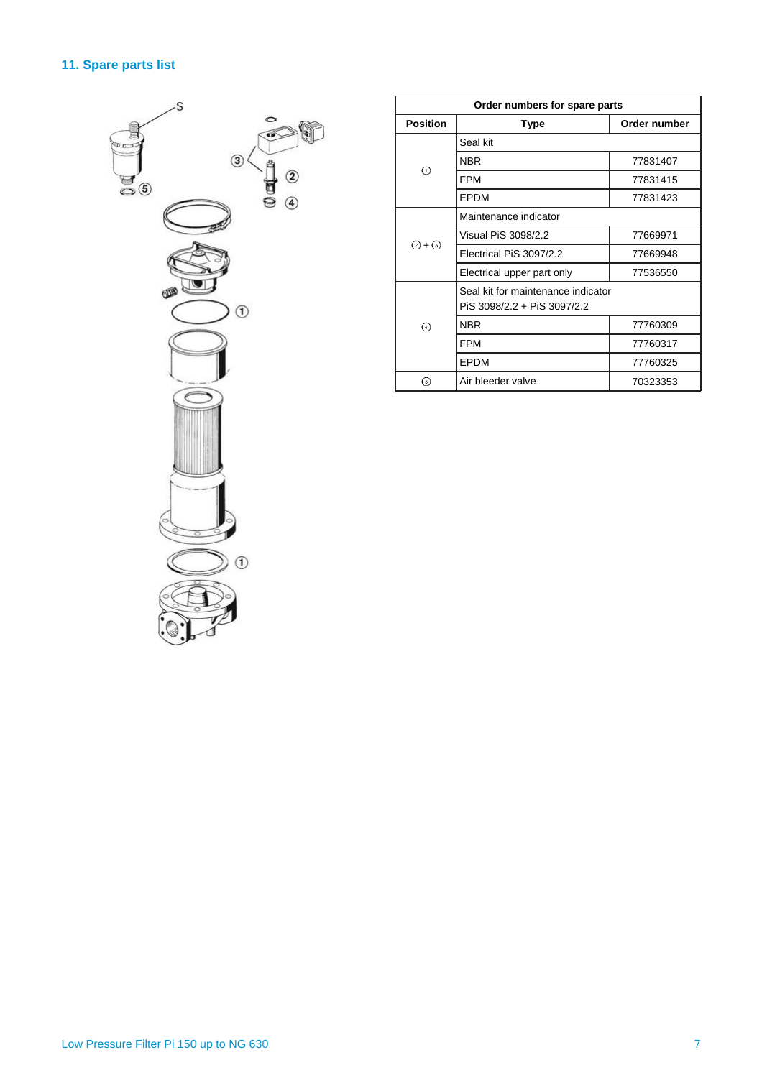# **11. Spare parts list**



| Order numbers for spare parts |                                                                   |          |  |  |  |  |  |  |
|-------------------------------|-------------------------------------------------------------------|----------|--|--|--|--|--|--|
| <b>Position</b>               | Order number<br><b>Type</b>                                       |          |  |  |  |  |  |  |
|                               | Seal kit                                                          |          |  |  |  |  |  |  |
|                               | <b>NBR</b>                                                        | 77831407 |  |  |  |  |  |  |
| ∩                             | <b>FPM</b>                                                        | 77831415 |  |  |  |  |  |  |
|                               | EPDM                                                              | 77831423 |  |  |  |  |  |  |
|                               | Maintenance indicator                                             |          |  |  |  |  |  |  |
| ② + ③                         | Visual PiS 3098/2.2                                               | 77669971 |  |  |  |  |  |  |
|                               | Electrical PiS 3097/2.2                                           | 77669948 |  |  |  |  |  |  |
|                               | Electrical upper part only                                        | 77536550 |  |  |  |  |  |  |
|                               | Seal kit for maintenance indicator<br>PiS 3098/2.2 + PiS 3097/2.2 |          |  |  |  |  |  |  |
| ᠗                             | <b>NBR</b>                                                        | 77760309 |  |  |  |  |  |  |
|                               | <b>FPM</b>                                                        | 77760317 |  |  |  |  |  |  |
|                               | EPDM                                                              | 77760325 |  |  |  |  |  |  |
| 6                             | Air bleeder valve<br>70323353                                     |          |  |  |  |  |  |  |